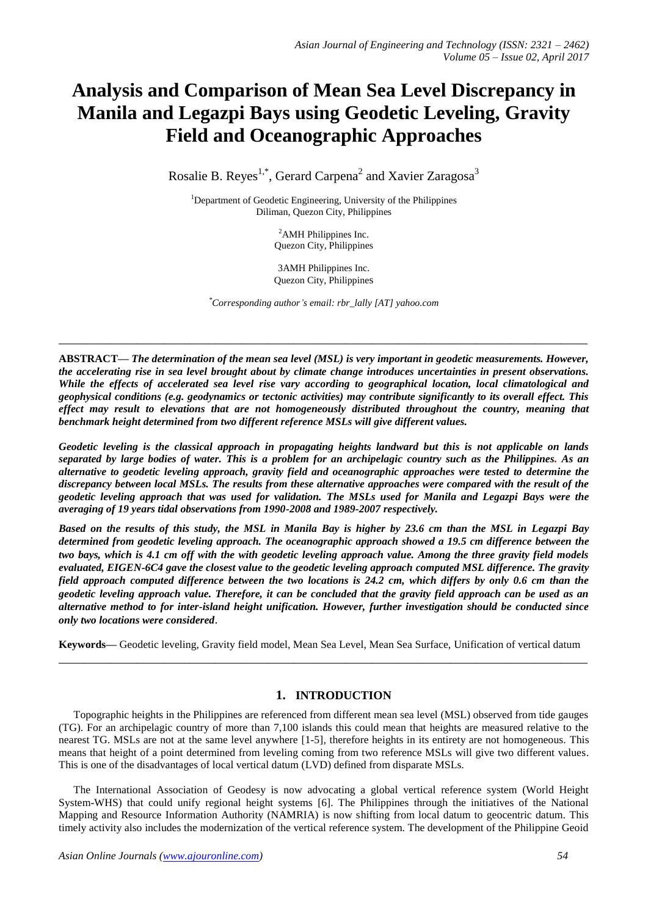# **Analysis and Comparison of Mean Sea Level Discrepancy in Manila and Legazpi Bays using Geodetic Leveling, Gravity Field and Oceanographic Approaches**

Rosalie B. Reyes<sup>1,\*</sup>, Gerard Carpena<sup>2</sup> and Xavier Zaragosa<sup>3</sup>

<sup>1</sup>Department of Geodetic Engineering, University of the Philippines Diliman, Quezon City, Philippines

> <sup>2</sup>AMH Philippines Inc. Quezon City, Philippines

3AMH Philippines Inc. Quezon City, Philippines

*\*Corresponding author's email: rbr\_lally [AT] yahoo.com* 

**\_\_\_\_\_\_\_\_\_\_\_\_\_\_\_\_\_\_\_\_\_\_\_\_\_\_\_\_\_\_\_\_\_\_\_\_\_\_\_\_\_\_\_\_\_\_\_\_\_\_\_\_\_\_\_\_\_\_\_\_\_\_\_\_\_\_\_\_\_\_\_\_\_\_\_\_\_\_\_\_\_**

**ABSTRACT—** *The determination of the mean sea level (MSL) is very important in geodetic measurements. However, the accelerating rise in sea level brought about by climate change introduces uncertainties in present observations. While the effects of accelerated sea level rise vary according to geographical location, local climatological and geophysical conditions (e.g. geodynamics or tectonic activities) may contribute significantly to its overall effect. This effect may result to elevations that are not homogeneously distributed throughout the country, meaning that benchmark height determined from two different reference MSLs will give different values.* 

*Geodetic leveling is the classical approach in propagating heights landward but this is not applicable on lands separated by large bodies of water. This is a problem for an archipelagic country such as the Philippines. As an alternative to geodetic leveling approach, gravity field and oceanographic approaches were tested to determine the discrepancy between local MSLs. The results from these alternative approaches were compared with the result of the geodetic leveling approach that was used for validation. The MSLs used for Manila and Legazpi Bays were the averaging of 19 years tidal observations from 1990-2008 and 1989-2007 respectively.*

*Based on the results of this study, the MSL in Manila Bay is higher by 23.6 cm than the MSL in Legazpi Bay determined from geodetic leveling approach. The oceanographic approach showed a 19.5 cm difference between the two bays, which is 4.1 cm off with the with geodetic leveling approach value. Among the three gravity field models evaluated, EIGEN-6C4 gave the closest value to the geodetic leveling approach computed MSL difference. The gravity field approach computed difference between the two locations is 24.2 cm, which differs by only 0.6 cm than the geodetic leveling approach value. Therefore, it can be concluded that the gravity field approach can be used as an alternative method to for inter-island height unification. However, further investigation should be conducted since only two locations were considered*.

**Keywords—** Geodetic leveling, Gravity field model, Mean Sea Level, Mean Sea Surface, Unification of vertical datum **\_\_\_\_\_\_\_\_\_\_\_\_\_\_\_\_\_\_\_\_\_\_\_\_\_\_\_\_\_\_\_\_\_\_\_\_\_\_\_\_\_\_\_\_\_\_\_\_\_\_\_\_\_\_\_\_\_\_\_\_\_\_\_\_\_\_\_\_\_\_\_\_\_\_\_\_\_\_\_\_\_**

# **1. INTRODUCTION**

Topographic heights in the Philippines are referenced from different mean sea level (MSL) observed from tide gauges (TG). For an archipelagic country of more than 7,100 islands this could mean that heights are measured relative to the nearest TG. MSLs are not at the same level anywhere [1-5], therefore heights in its entirety are not homogeneous. This means that height of a point determined from leveling coming from two reference MSLs will give two different values. This is one of the disadvantages of local vertical datum (LVD) defined from disparate MSLs.

The International Association of Geodesy is now advocating a global vertical reference system (World Height System-WHS) that could unify regional height systems [\[6\]](#page-7-0). The Philippines through the initiatives of the National Mapping and Resource Information Authority (NAMRIA) is now shifting from local datum to geocentric datum. This timely activity also includes the modernization of the vertical reference system. The development of the Philippine Geoid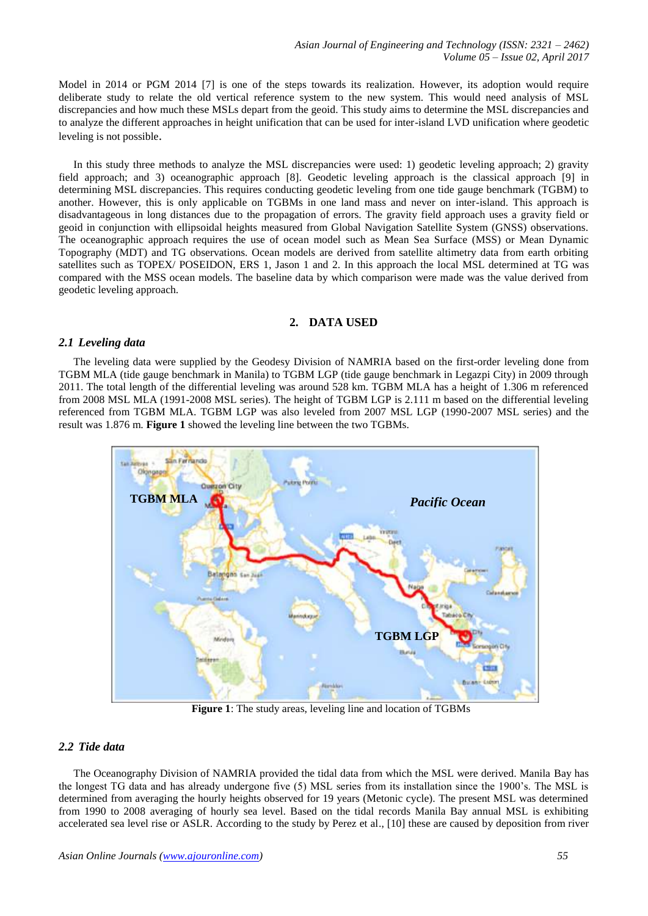Model in 2014 or PGM 2014 [\[7\]](#page-7-1) is one of the steps towards its realization. However, its adoption would require deliberate study to relate the old vertical reference system to the new system. This would need analysis of MSL discrepancies and how much these MSLs depart from the geoid. This study aims to determine the MSL discrepancies and to analyze the different approaches in height unification that can be used for inter-island LVD unification where geodetic leveling is not possible.

In this study three methods to analyze the MSL discrepancies were used: 1) geodetic leveling approach; 2) gravity field approach; and 3) oceanographic approach [\[8\]](#page-7-2). Geodetic leveling approach is the classical approach [\[9\]](#page-7-3) in determining MSL discrepancies. This requires conducting geodetic leveling from one tide gauge benchmark (TGBM) to another. However, this is only applicable on TGBMs in one land mass and never on inter-island. This approach is disadvantageous in long distances due to the propagation of errors. The gravity field approach uses a gravity field or geoid in conjunction with ellipsoidal heights measured from Global Navigation Satellite System (GNSS) observations. The oceanographic approach requires the use of ocean model such as Mean Sea Surface (MSS) or Mean Dynamic Topography (MDT) and TG observations. Ocean models are derived from satellite altimetry data from earth orbiting satellites such as TOPEX/ POSEIDON, ERS 1, Jason 1 and 2. In this approach the local MSL determined at TG was compared with the MSS ocean models. The baseline data by which comparison were made was the value derived from geodetic leveling approach.

# **2. DATA USED**

# *2.1 Leveling data*

The leveling data were supplied by the Geodesy Division of NAMRIA based on the first-order leveling done from TGBM MLA (tide gauge benchmark in Manila) to TGBM LGP (tide gauge benchmark in Legazpi City) in 2009 through 2011. The total length of the differential leveling was around 528 km. TGBM MLA has a height of 1.306 m referenced from 2008 MSL MLA (1991-2008 MSL series). The height of TGBM LGP is 2.111 m based on the differential leveling referenced from TGBM MLA. TGBM LGP was also leveled from 2007 MSL LGP (1990-2007 MSL series) and the result was 1.876 m. **Figure 1** showed the leveling line between the two TGBMs.



**Figure 1**: The study areas, leveling line and location of TGBMs

# *2.2 Tide data*

The Oceanography Division of NAMRIA provided the tidal data from which the MSL were derived. Manila Bay has the longest TG data and has already undergone five (5) MSL series from its installation since the 1900's. The MSL is determined from averaging the hourly heights observed for 19 years (Metonic cycle). The present MSL was determined from 1990 to 2008 averaging of hourly sea level. Based on the tidal records Manila Bay annual MSL is exhibiting accelerated sea level rise or ASLR. According to the study by Perez et al., [\[10\]](#page-7-4) these are caused by deposition from river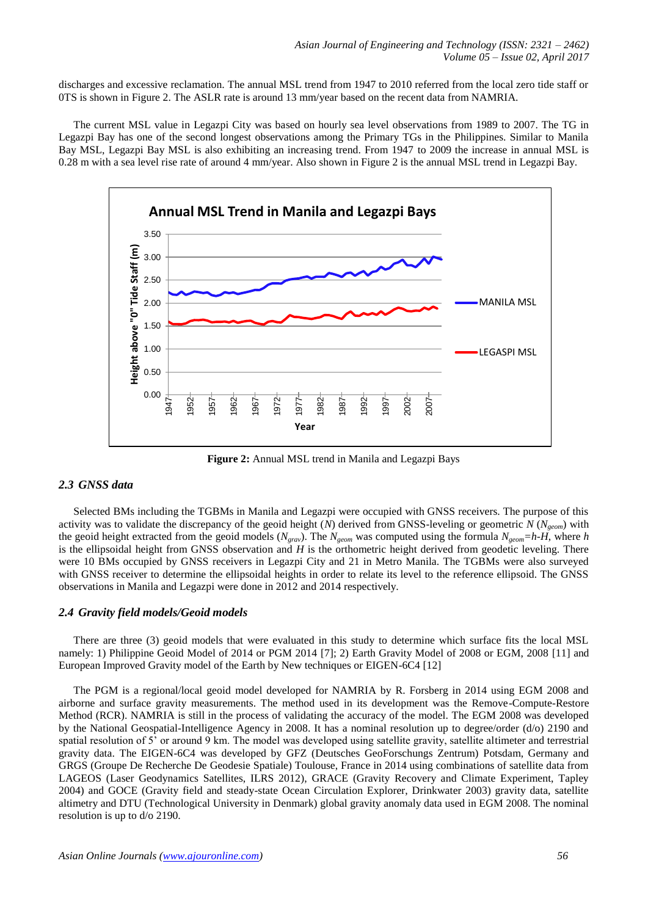discharges and excessive reclamation. The annual MSL trend from 1947 to 2010 referred from the local zero tide staff or 0TS is shown in Figure 2. The ASLR rate is around 13 mm/year based on the recent data from NAMRIA.

The current MSL value in Legazpi City was based on hourly sea level observations from 1989 to 2007. The TG in Legazpi Bay has one of the second longest observations among the Primary TGs in the Philippines. Similar to Manila Bay MSL, Legazpi Bay MSL is also exhibiting an increasing trend. From 1947 to 2009 the increase in annual MSL is 0.28 m with a sea level rise rate of around 4 mm/year. Also shown in Figure 2 is the annual MSL trend in Legazpi Bay.



**Figure 2:** Annual MSL trend in Manila and Legazpi Bays

# *2.3 GNSS data*

Selected BMs including the TGBMs in Manila and Legazpi were occupied with GNSS receivers. The purpose of this activity was to validate the discrepancy of the geoid height (*N*) derived from GNSS-leveling or geometric *N* (*Ngeom*) with the geoid height extracted from the geoid models ( $N_{\text{grav}}$ ). The  $N_{\text{geom}}$  was computed using the formula  $N_{\text{geom}}=h\text{-}H$ , where *h* is the ellipsoidal height from GNSS observation and *H* is the orthometric height derived from geodetic leveling. There were 10 BMs occupied by GNSS receivers in Legazpi City and 21 in Metro Manila. The TGBMs were also surveyed with GNSS receiver to determine the ellipsoidal heights in order to relate its level to the reference ellipsoid. The GNSS observations in Manila and Legazpi were done in 2012 and 2014 respectively.

# *2.4 Gravity field models/Geoid models*

There are three (3) geoid models that were evaluated in this study to determine which surface fits the local MSL namely: 1) Philippine Geoid Model of 2014 or PGM 2014 [\[7\]](#page-7-1); 2) Earth Gravity Model of 2008 or EGM, 2008 [\[11\]](#page-7-5) and European Improved Gravity model of the Earth by New techniques or EIGEN-6C4 [\[12\]](#page-7-6)

The PGM is a regional/local geoid model developed for NAMRIA by R. Forsberg in 2014 using EGM 2008 and airborne and surface gravity measurements. The method used in its development was the Remove-Compute-Restore Method (RCR). NAMRIA is still in the process of validating the accuracy of the model. The EGM 2008 was developed by the National Geospatial-Intelligence Agency in 2008. It has a nominal resolution up to degree/order (d/o) 2190 and spatial resolution of 5' or around 9 km. The model was developed using satellite gravity, satellite altimeter and terrestrial gravity data. The EIGEN-6C4 was developed by GFZ (Deutsches GeoForschungs Zentrum) Potsdam, Germany and GRGS (Groupe De Recherche De Geodesie Spatiale) Toulouse, France in 2014 using combinations of satellite data from LAGEOS (Laser Geodynamics Satellites, ILRS 2012), GRACE (Gravity Recovery and Climate Experiment, Tapley 2004) and GOCE (Gravity field and steady-state Ocean Circulation Explorer, Drinkwater 2003) gravity data, satellite altimetry and DTU (Technological University in Denmark) global gravity anomaly data used in EGM 2008. The nominal resolution is up to d/o 2190.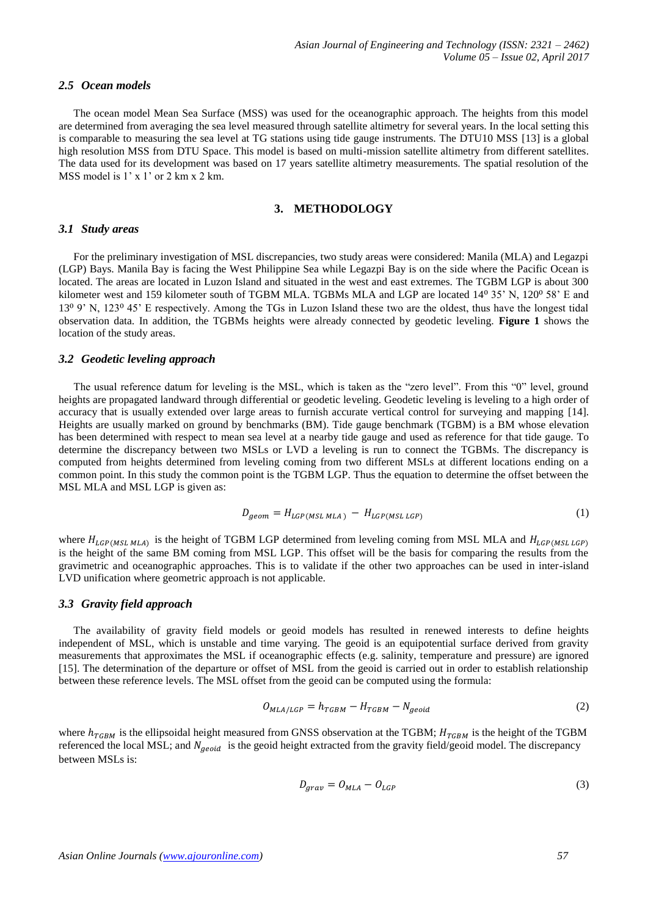#### *2.5 Ocean models*

The ocean model Mean Sea Surface (MSS) was used for the oceanographic approach. The heights from this model are determined from averaging the sea level measured through satellite altimetry for several years. In the local setting this is comparable to measuring the sea level at TG stations using tide gauge instruments. The DTU10 MSS [\[13\]](#page-7-7) is a global high resolution MSS from DTU Space. This model is based on multi-mission satellite altimetry from different satellites. The data used for its development was based on 17 years satellite altimetry measurements. The spatial resolution of the MSS model is 1' x 1' or 2 km x 2 km.

# **3. METHODOLOGY**

#### *3.1 Study areas*

For the preliminary investigation of MSL discrepancies, two study areas were considered: Manila (MLA) and Legazpi (LGP) Bays. Manila Bay is facing the West Philippine Sea while Legazpi Bay is on the side where the Pacific Ocean is located. The areas are located in Luzon Island and situated in the west and east extremes. The TGBM LGP is about 300 kilometer west and 159 kilometer south of TGBM MLA. TGBMs MLA and LGP are located 14<sup>0</sup> 35' N, 120<sup>0</sup> 58' E and 13⁰ 9' N, 123⁰ 45' E respectively. Among the TGs in Luzon Island these two are the oldest, thus have the longest tidal observation data. In addition, the TGBMs heights were already connected by geodetic leveling. **Figure 1** shows the location of the study areas.

#### *3.2 Geodetic leveling approach*

The usual reference datum for leveling is the MSL, which is taken as the "zero level". From this "0" level, ground heights are propagated landward through differential or geodetic leveling. Geodetic leveling is leveling to a high order of accuracy that is usually extended over large areas to furnish accurate vertical control for surveying and mapping [\[14\]](#page-7-8). Heights are usually marked on ground by benchmarks (BM). Tide gauge benchmark (TGBM) is a BM whose elevation has been determined with respect to mean sea level at a nearby tide gauge and used as reference for that tide gauge. To determine the discrepancy between two MSLs or LVD a leveling is run to connect the TGBMs. The discrepancy is computed from heights determined from leveling coming from two different MSLs at different locations ending on a common point. In this study the common point is the TGBM LGP. Thus the equation to determine the offset between the MSL MLA and MSL LGP is given as:

$$
D_{geom} = H_{LGP(MSLMLA)} - H_{LGP(MSLLGP)} \tag{1}
$$

where  $H_{LGP(MSL MLA)}$  is the height of TGBM LGP determined from leveling coming from MSL MLA and is the height of the same BM coming from MSL LGP. This offset will be the basis for comparing the results from the gravimetric and oceanographic approaches. This is to validate if the other two approaches can be used in inter-island LVD unification where geometric approach is not applicable.

#### *3.3 Gravity field approach*

The availability of gravity field models or geoid models has resulted in renewed interests to define heights independent of MSL, which is unstable and time varying. The geoid is an equipotential surface derived from gravity measurements that approximates the MSL if oceanographic effects (e.g. salinity, temperature and pressure) are ignored [\[15\]](#page-7-9). The determination of the departure or offset of MSL from the geoid is carried out in order to establish relationship between these reference levels. The MSL offset from the geoid can be computed using the formula:

$$
O_{MLA/LGP} = h_{TGBM} - H_{TGBM} - N_{geoid}
$$
\n<sup>(2)</sup>

where  $h_{TGBM}$  is the ellipsoidal height measured from GNSS observation at the TGBM;  $H_{TGBM}$  is the height of the TGBM referenced the local MSL; and  $N_{aeoid}$  is the geoid height extracted from the gravity field/geoid model. The discrepancy between MSLs is:

$$
D_{grav} = O_{MLA} - O_{LGP}
$$
\n<sup>(3)</sup>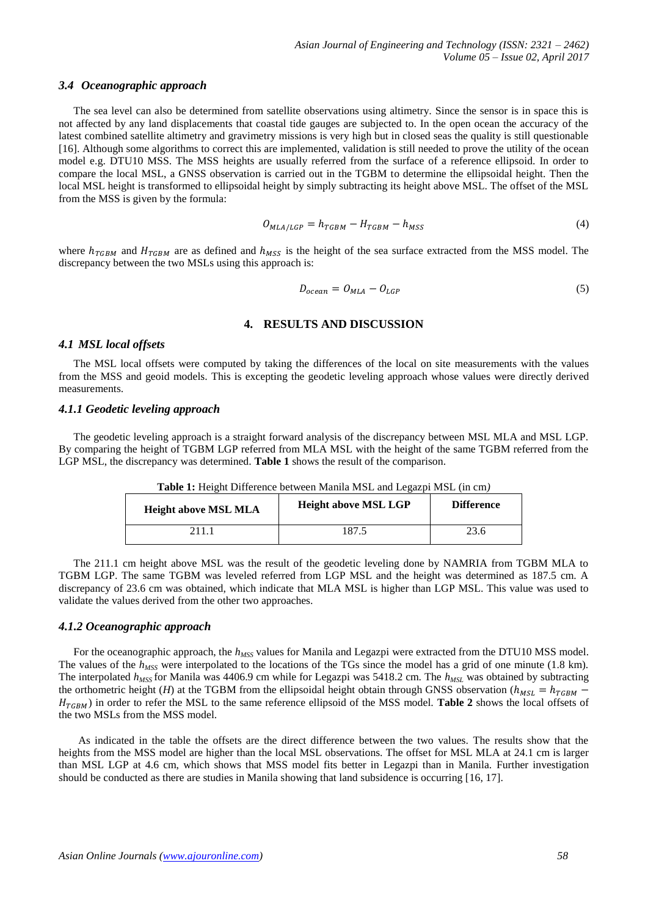#### *3.4 Oceanographic approach*

The sea level can also be determined from satellite observations using altimetry. Since the sensor is in space this is not affected by any land displacements that coastal tide gauges are subjected to. In the open ocean the accuracy of the latest combined satellite altimetry and gravimetry missions is very high but in closed seas the quality is still questionable [\[16\]](#page-7-10). Although some algorithms to correct this are implemented, validation is still needed to prove the utility of the ocean model e.g. DTU10 MSS. The MSS heights are usually referred from the surface of a reference ellipsoid. In order to compare the local MSL, a GNSS observation is carried out in the TGBM to determine the ellipsoidal height. Then the local MSL height is transformed to ellipsoidal height by simply subtracting its height above MSL. The offset of the MSL from the MSS is given by the formula:

$$
O_{MLA/LGP} = h_{TGBM} - H_{TGBM} - h_{MSS}
$$
\n<sup>(4)</sup>

where  $h_{TGBM}$  and  $H_{TGBM}$  are as defined and  $h_{MSS}$  is the height of the sea surface extracted from the MSS model. The discrepancy between the two MSLs using this approach is:

$$
D_{ocean} = O_{MLA} - O_{LGP} \tag{5}
$$

#### **4. RESULTS AND DISCUSSION**

#### *4.1 MSL local offsets*

The MSL local offsets were computed by taking the differences of the local on site measurements with the values from the MSS and geoid models. This is excepting the geodetic leveling approach whose values were directly derived measurements.

### *4.1.1 Geodetic leveling approach*

The geodetic leveling approach is a straight forward analysis of the discrepancy between MSL MLA and MSL LGP. By comparing the height of TGBM LGP referred from MLA MSL with the height of the same TGBM referred from the LGP MSL, the discrepancy was determined. **Table 1** shows the result of the comparison.

| <b>Height above MSL MLA</b> | <b>Height above MSL LGP</b> | <b>Difference</b> |
|-----------------------------|-----------------------------|-------------------|
| 211.                        | 187.5                       |                   |

**Table 1:** Height Difference between Manila MSL and Legazpi MSL (in cm*)*

The 211.1 cm height above MSL was the result of the geodetic leveling done by NAMRIA from TGBM MLA to TGBM LGP. The same TGBM was leveled referred from LGP MSL and the height was determined as 187.5 cm. A discrepancy of 23.6 cm was obtained, which indicate that MLA MSL is higher than LGP MSL. This value was used to validate the values derived from the other two approaches.

# *4.1.2 Oceanographic approach*

For the oceanographic approach, the *hMSS* values for Manila and Legazpi were extracted from the DTU10 MSS model. The values of the *h<sub>MSS</sub>* were interpolated to the locations of the TGs since the model has a grid of one minute (1.8 km). The interpolated *hMSS* for Manila was 4406.9 cm while for Legazpi was 5418.2 cm. The *hMSL* was obtained by subtracting the orthometric height (*H*) at the TGBM from the ellipsoidal height obtain through GNSS observation ( $h_{MSL} = h_{TGBM}$  ) in order to refer the MSL to the same reference ellipsoid of the MSS model. **Table 2** shows the local offsets of the two MSLs from the MSS model.

As indicated in the table the offsets are the direct difference between the two values. The results show that the heights from the MSS model are higher than the local MSL observations. The offset for MSL MLA at 24.1 cm is larger than MSL LGP at 4.6 cm, which shows that MSS model fits better in Legazpi than in Manila. Further investigation should be conducted as there are studies in Manila showing that land subsidence is occurring [16, 17].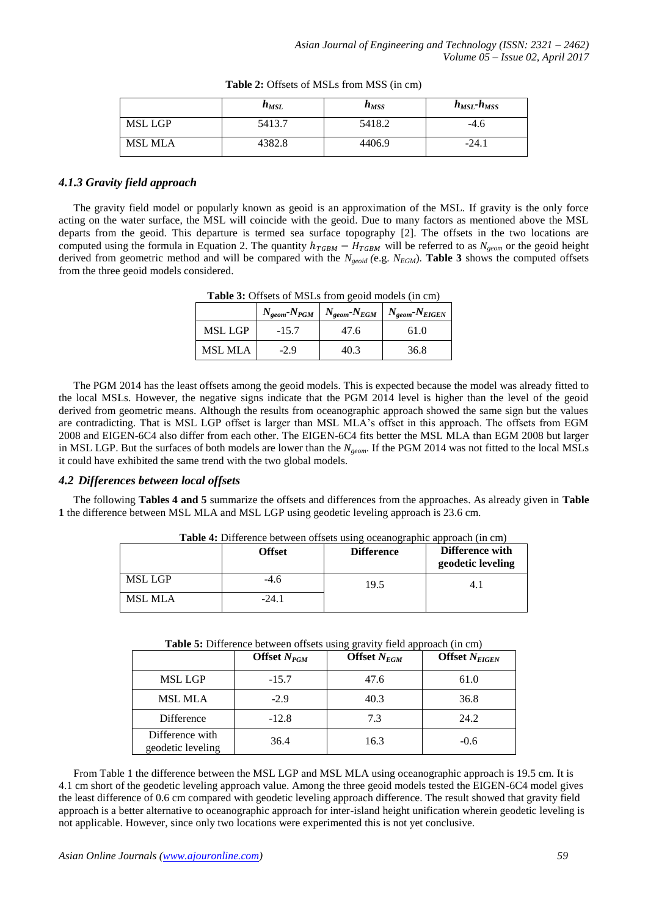|                | $n_{MSL}$ | $n_{MSS}$ | $h_{MSL}$ - $h_{MSS}$ |
|----------------|-----------|-----------|-----------------------|
| MSL LGP        | 5413.7    | 5418.2    | $-4.6$                |
| <b>MSL MLA</b> | 4382.8    | 4406.9    | $-24.1$               |

|  | <b>Table 2:</b> Offsets of MSLs from MSS (in cm) |  |
|--|--------------------------------------------------|--|
|--|--------------------------------------------------|--|

# *4.1.3 Gravity field approach*

The gravity field model or popularly known as geoid is an approximation of the MSL. If gravity is the only force acting on the water surface, the MSL will coincide with the geoid. Due to many factors as mentioned above the MSL departs from the geoid. This departure is termed sea surface topography [\[2\]](#page-6-0). The offsets in the two locations are computed using the formula in Equation 2. The quantity  $h_{TGBM} - H_{TGBM}$  will be referred to as  $N_{geom}$  or the geoid height derived from geometric method and will be compared with the  $N_{\text{ecoil}}$  (e.g.  $N_{\text{EGM}}$ ). **Table 3** shows the computed offsets from the three geoid models considered.

|                | <b>Table 5:</b> Offsets of MSLS from geold models (in citi) |      | $N_{geom}$ - $N_{PGM}$   $N_{geom}$ - $N_{EGM}$   $N_{geom}$ - $N_{EIGEN}$ |
|----------------|-------------------------------------------------------------|------|----------------------------------------------------------------------------|
| MSL LGP        | $-15.7$                                                     | 47.6 | 61.0                                                                       |
| <b>MSL MLA</b> | $-2.9$                                                      | 40.3 | 36.8                                                                       |

**Table 3:** Offsets of MSLs from geoid models (in cm)

The PGM 2014 has the least offsets among the geoid models. This is expected because the model was already fitted to the local MSLs. However, the negative signs indicate that the PGM 2014 level is higher than the level of the geoid derived from geometric means. Although the results from oceanographic approach showed the same sign but the values are contradicting. That is MSL LGP offset is larger than MSL MLA's offset in this approach. The offsets from EGM 2008 and EIGEN-6C4 also differ from each other. The EIGEN-6C4 fits better the MSL MLA than EGM 2008 but larger in MSL LGP. But the surfaces of both models are lower than the *Ngeom*. If the PGM 2014 was not fitted to the local MSLs it could have exhibited the same trend with the two global models.

# *4.2 Differences between local offsets*

The following **Tables 4 and 5** summarize the offsets and differences from the approaches. As already given in **Table 1** the difference between MSL MLA and MSL LGP using geodetic leveling approach is 23.6 cm.

|                | <b>Offset</b> | <b>Difference</b> | Difference with<br>geodetic leveling |
|----------------|---------------|-------------------|--------------------------------------|
| MSL LGP        | $-4.6$        | 19.5              | 4. I                                 |
| <b>MSL MLA</b> | $-24.1$       |                   |                                      |

**Table 4:** Difference between offsets using oceanographic approach (in cm)

| Table 5: Difference between offsets using gravity field approach (in cm) |  |  |  |  |
|--------------------------------------------------------------------------|--|--|--|--|
|--------------------------------------------------------------------------|--|--|--|--|

|                                      | Offset $N_{PGM}$ | Offset $N_{EGM}$ | Offset $N_{EIGEN}$ |
|--------------------------------------|------------------|------------------|--------------------|
| MSL LGP                              | $-15.7$          | 47.6             | 61.0               |
| <b>MSL MLA</b>                       | $-2.9$           | 40.3             | 36.8               |
| Difference                           | $-12.8$          | 7.3              | 24.2               |
| Difference with<br>geodetic leveling | 36.4             | 16.3             | $-0.6$             |

From Table 1 the difference between the MSL LGP and MSL MLA using oceanographic approach is 19.5 cm. It is 4.1 cm short of the geodetic leveling approach value. Among the three geoid models tested the EIGEN-6C4 model gives the least difference of 0.6 cm compared with geodetic leveling approach difference. The result showed that gravity field approach is a better alternative to oceanographic approach for inter-island height unification wherein geodetic leveling is not applicable. However, since only two locations were experimented this is not yet conclusive.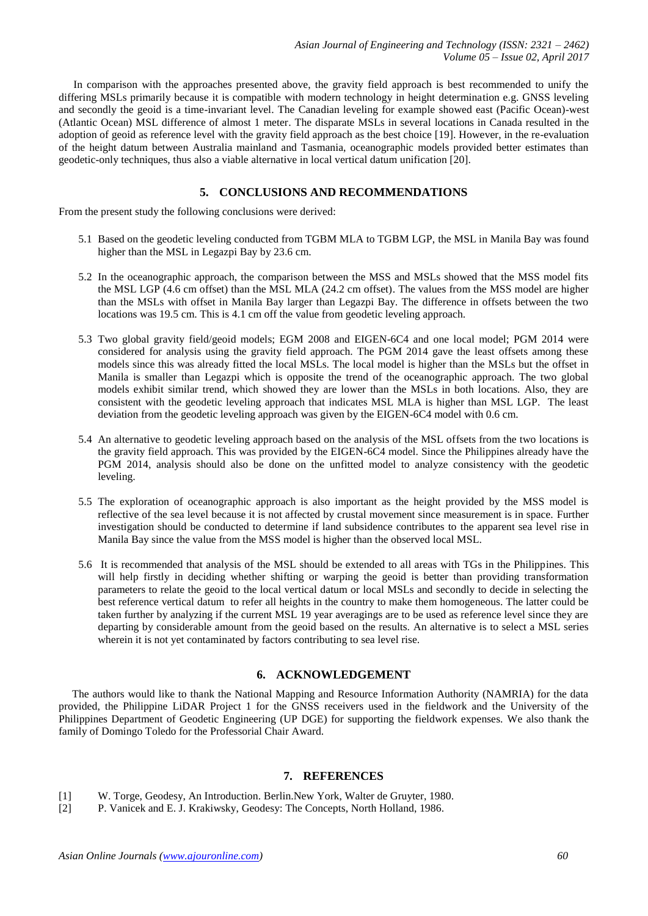In comparison with the approaches presented above, the gravity field approach is best recommended to unify the differing MSLs primarily because it is compatible with modern technology in height determination e.g. GNSS leveling and secondly the geoid is a time-invariant level. The Canadian leveling for example showed east (Pacific Ocean)-west (Atlantic Ocean) MSL difference of almost 1 meter. The disparate MSLs in several locations in Canada resulted in the adoption of geoid as reference level with the gravity field approach as the best choice [19]. However, in the re-evaluation of the height datum between Australia mainland and Tasmania, oceanographic models provided better estimates than geodetic-only techniques, thus also a viable alternative in local vertical datum unification [20].

# **5. CONCLUSIONS AND RECOMMENDATIONS**

From the present study the following conclusions were derived:

- 5.1 Based on the geodetic leveling conducted from TGBM MLA to TGBM LGP, the MSL in Manila Bay was found higher than the MSL in Legazpi Bay by 23.6 cm.
- 5.2 In the oceanographic approach, the comparison between the MSS and MSLs showed that the MSS model fits the MSL LGP (4.6 cm offset) than the MSL MLA (24.2 cm offset). The values from the MSS model are higher than the MSLs with offset in Manila Bay larger than Legazpi Bay. The difference in offsets between the two locations was 19.5 cm. This is 4.1 cm off the value from geodetic leveling approach.
- 5.3 Two global gravity field/geoid models; EGM 2008 and EIGEN-6C4 and one local model; PGM 2014 were considered for analysis using the gravity field approach. The PGM 2014 gave the least offsets among these models since this was already fitted the local MSLs. The local model is higher than the MSLs but the offset in Manila is smaller than Legazpi which is opposite the trend of the oceanographic approach. The two global models exhibit similar trend, which showed they are lower than the MSLs in both locations. Also, they are consistent with the geodetic leveling approach that indicates MSL MLA is higher than MSL LGP. The least deviation from the geodetic leveling approach was given by the EIGEN-6C4 model with 0.6 cm.
- 5.4 An alternative to geodetic leveling approach based on the analysis of the MSL offsets from the two locations is the gravity field approach. This was provided by the EIGEN-6C4 model. Since the Philippines already have the PGM 2014, analysis should also be done on the unfitted model to analyze consistency with the geodetic leveling.
- 5.5 The exploration of oceanographic approach is also important as the height provided by the MSS model is reflective of the sea level because it is not affected by crustal movement since measurement is in space. Further investigation should be conducted to determine if land subsidence contributes to the apparent sea level rise in Manila Bay since the value from the MSS model is higher than the observed local MSL.
- 5.6 It is recommended that analysis of the MSL should be extended to all areas with TGs in the Philippines. This will help firstly in deciding whether shifting or warping the geoid is better than providing transformation parameters to relate the geoid to the local vertical datum or local MSLs and secondly to decide in selecting the best reference vertical datum to refer all heights in the country to make them homogeneous. The latter could be taken further by analyzing if the current MSL 19 year averagings are to be used as reference level since they are departing by considerable amount from the geoid based on the results. An alternative is to select a MSL series wherein it is not yet contaminated by factors contributing to sea level rise.

# **6. ACKNOWLEDGEMENT**

The authors would like to thank the National Mapping and Resource Information Authority (NAMRIA) for the data provided, the Philippine LiDAR Project 1 for the GNSS receivers used in the fieldwork and the University of the Philippines Department of Geodetic Engineering (UP DGE) for supporting the fieldwork expenses. We also thank the family of Domingo Toledo for the Professorial Chair Award.

# **7. REFERENCES**

- [1] W. Torge, Geodesy, An Introduction. Berlin.New York, Walter de Gruyter, 1980.
- <span id="page-6-0"></span>[2] P. Vanicek and E. J. Krakiwsky, Geodesy: The Concepts, North Holland, 1986.